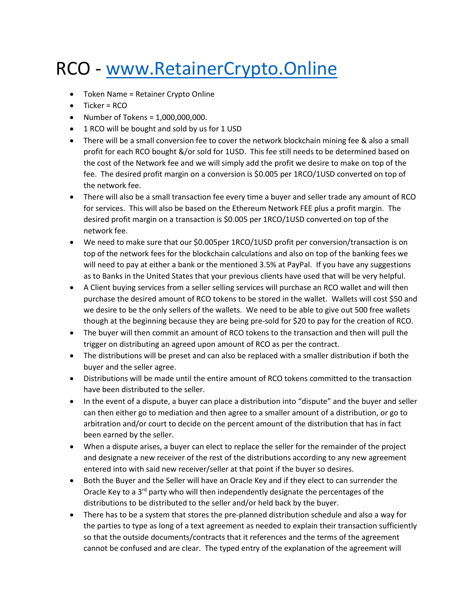## RCO - <www.RetainerCrypto.Online>

- Token Name = Retainer Crypto Online
- Ticker = RCO
- Number of Tokens = 1,000,000,000.
- 1 RCO will be bought and sold by us for 1 USD
- There will be a small conversion fee to cover the network blockchain mining fee & also a small profit for each RCO bought &/or sold for 1USD. This fee still needs to be determined based on the cost of the Network fee and we will simply add the profit we desire to make on top of the fee. The desired profit margin on a conversion is \$0.005 per 1RCO/1USD converted on top of the network fee.
- There will also be a small transaction fee every time a buyer and seller trade any amount of RCO for services. This will also be based on the Ethereum Network FEE plus a profit margin. The desired profit margin on a transaction is \$0.005 per 1RCO/1USD converted on top of the network fee.
- We need to make sure that our \$0.005per 1RCO/1USD profit per conversion/transaction is on top of the network fees for the blockchain calculations and also on top of the banking fees we will need to pay at either a bank or the mentioned 3.5% at PayPal. If you have any suggestions as to Banks in the United States that your previous clients have used that will be very helpful.
- A Client buying services from a seller selling services will purchase an RCO wallet and will then purchase the desired amount of RCO tokens to be stored in the wallet. Wallets will cost \$50 and we desire to be the only sellers of the wallets. We need to be able to give out 500 free wallets though at the beginning because they are being pre-sold for \$20 to pay for the creation of RCO.
- The buyer will then commit an amount of RCO tokens to the transaction and then will pull the trigger on distributing an agreed upon amount of RCO as per the contract.
- The distributions will be preset and can also be replaced with a smaller distribution if both the buyer and the seller agree.
- Distributions will be made until the entire amount of RCO tokens committed to the transaction have been distributed to the seller.
- In the event of a dispute, a buyer can place a distribution into "dispute" and the buyer and seller can then either go to mediation and then agree to a smaller amount of a distribution, or go to arbitration and/or court to decide on the percent amount of the distribution that has in fact been earned by the seller.
- When a dispute arises, a buyer can elect to replace the seller for the remainder of the project and designate a new receiver of the rest of the distributions according to any new agreement entered into with said new receiver/seller at that point if the buyer so desires.
- Both the Buyer and the Seller will have an Oracle Key and if they elect to can surrender the Oracle Key to a  $3<sup>rd</sup>$  party who will then independently designate the percentages of the distributions to be distributed to the seller and/or held back by the buyer.
- There has to be a system that stores the pre-planned distribution schedule and also a way for the parties to type as long of a text agreement as needed to explain their transaction sufficiently so that the outside documents/contracts that it references and the terms of the agreement cannot be confused and are clear. The typed entry of the explanation of the agreement will